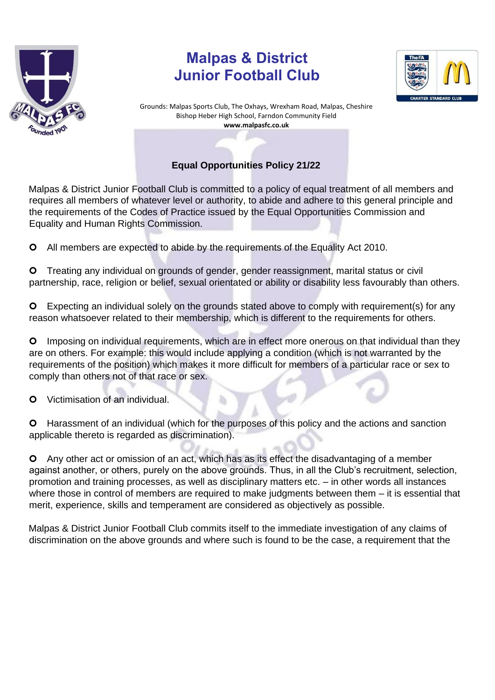

## **Malpas & District Junior Football Club**



Grounds: Malpas Sports Club, The Oxhays, Wrexham Road, Malpas, Cheshire Bishop Heber High School, Farndon Community Field **www.malpasfc.co.uk** 

## **Equal Opportunities Policy 21/22**

Malpas & District Junior Football Club is committed to a policy of equal treatment of all members and requires all members of whatever level or authority, to abide and adhere to this general principle and the requirements of the Codes of Practice issued by the Equal Opportunities Commission and Equality and Human Rights Commission.

All members are expected to abide by the requirements of the Equality Act 2010.

 Treating any individual on grounds of gender, gender reassignment, marital status or civil partnership, race, religion or belief, sexual orientated or ability or disability less favourably than others.

 Expecting an individual solely on the grounds stated above to comply with requirement(s) for any reason whatsoever related to their membership, which is different to the requirements for others.

 Imposing on individual requirements, which are in effect more onerous on that individual than they are on others. For example: this would include applying a condition (which is not warranted by the requirements of the position) which makes it more difficult for members of a particular race or sex to comply than others not of that race or sex.

**O** Victimisation of an individual.

 Harassment of an individual (which for the purposes of this policy and the actions and sanction applicable thereto is regarded as discrimination).

 Any other act or omission of an act, which has as its effect the disadvantaging of a member against another, or others, purely on the above grounds. Thus, in all the Club's recruitment, selection, promotion and training processes, as well as disciplinary matters etc. – in other words all instances where those in control of members are required to make judgments between them – it is essential that merit, experience, skills and temperament are considered as objectively as possible.

Malpas & District Junior Football Club commits itself to the immediate investigation of any claims of discrimination on the above grounds and where such is found to be the case, a requirement that the